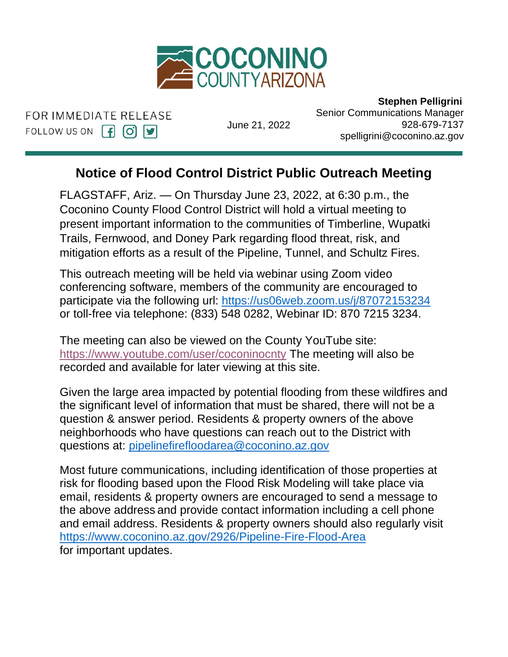

FOR IMMEDIATE RELEASE FOLLOW US ON  $\left[\begin{matrix} 1 \\ 0 \end{matrix}\right]$   $\left[\begin{matrix} 9 \\ 9 \end{matrix}\right]$ 

June 21, 2022

 **Stephen Pelligrini** Senior Communications Manager 928-679-7137 spelligrini@coconino.az.gov

## **Notice of Flood Control District Public Outreach Meeting**

FLAGSTAFF, Ariz.  $-$  On Thursday June 23, 2022, at 6:30 p.m., the Public Products, Public Control District will hold a virtual meeting to Coconino County Flood Control District will hold a virtual meeting to present important information to the communities of Timberline, Wupatki procent imperiant intermation to the communities of innicenting, the<br>Trails, Fernwood, and Doney Park regarding flood threat, risk, and mitigation efforts as a result of the Pipeline, Tunnel, and Schultz Fires. will n araing

This outreach meeting will be held via webinar using Zoom video conferencing software, members of the community are encouraged to participate via the following url:<https://us06web.zoom.us/j/87072153234> or toll-free via telephone: (833) 548 0282, Webinar ID: 870 7215 3234.

The meeting can also be viewed on the County YouTube site: <https://www.youtube.com/user/coconinocnty> The meeting will also be recorded and available for later viewing at this site.

Given the large area impacted by potential flooding from these wildfires and the significant level of information that must be shared, there will not be a question & answer period. Residents & property owners of the above neighborhoods who have questions can reach out to the District with questions at: [pipelinefirefloodarea@coconino.az.gov](mailto:pipelinefirefloodarea@coconino.az.gov)

Most future communications, including identification of those properties at risk for flooding based upon the Flood Risk Modeling will take place via email, residents & property owners are encouraged to send a message to the above address and provide contact information including a cell phone and email address. Residents & property owners should also regularly visit <https://www.coconino.az.gov/2926/Pipeline-Fire-Flood-Area> for important updates.